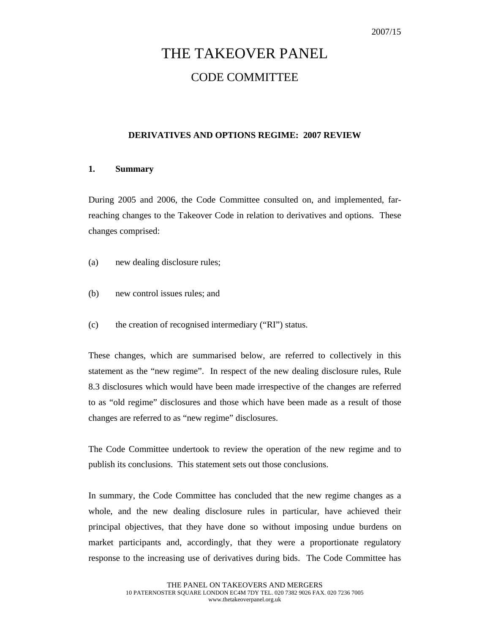# THE TAKEOVER PANEL CODE COMMITTEE

# **DERIVATIVES AND OPTIONS REGIME: 2007 REVIEW**

# **1. Summary**

During 2005 and 2006, the Code Committee consulted on, and implemented, farreaching changes to the Takeover Code in relation to derivatives and options. These changes comprised:

- (a) new dealing disclosure rules;
- (b) new control issues rules; and
- (c) the creation of recognised intermediary ("RI") status.

These changes, which are summarised below, are referred to collectively in this statement as the "new regime". In respect of the new dealing disclosure rules, Rule 8.3 disclosures which would have been made irrespective of the changes are referred to as "old regime" disclosures and those which have been made as a result of those changes are referred to as "new regime" disclosures.

The Code Committee undertook to review the operation of the new regime and to publish its conclusions. This statement sets out those conclusions.

In summary, the Code Committee has concluded that the new regime changes as a whole, and the new dealing disclosure rules in particular, have achieved their principal objectives, that they have done so without imposing undue burdens on market participants and, accordingly, that they were a proportionate regulatory response to the increasing use of derivatives during bids. The Code Committee has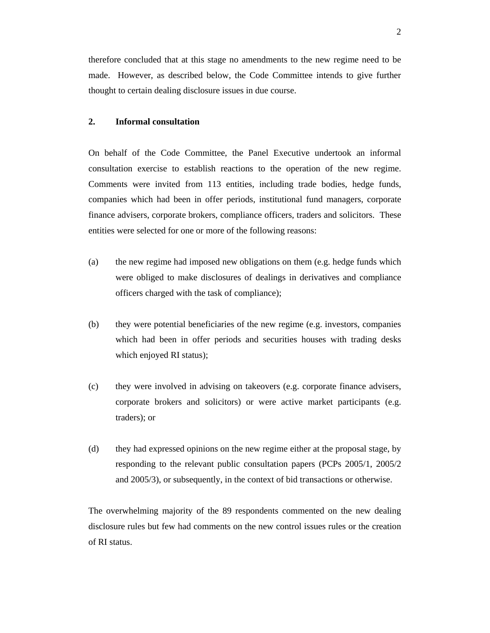therefore concluded that at this stage no amendments to the new regime need to be made. However, as described below, the Code Committee intends to give further thought to certain dealing disclosure issues in due course.

# **2. Informal consultation**

On behalf of the Code Committee, the Panel Executive undertook an informal consultation exercise to establish reactions to the operation of the new regime. Comments were invited from 113 entities, including trade bodies, hedge funds, companies which had been in offer periods, institutional fund managers, corporate finance advisers, corporate brokers, compliance officers, traders and solicitors. These entities were selected for one or more of the following reasons:

- (a) the new regime had imposed new obligations on them (e.g. hedge funds which were obliged to make disclosures of dealings in derivatives and compliance officers charged with the task of compliance);
- (b) they were potential beneficiaries of the new regime (e.g. investors, companies which had been in offer periods and securities houses with trading desks which enjoyed RI status);
- (c) they were involved in advising on takeovers (e.g. corporate finance advisers, corporate brokers and solicitors) or were active market participants (e.g. traders); or
- (d) they had expressed opinions on the new regime either at the proposal stage, by responding to the relevant public consultation papers (PCPs 2005/1, 2005/2 and 2005/3), or subsequently, in the context of bid transactions or otherwise.

The overwhelming majority of the 89 respondents commented on the new dealing disclosure rules but few had comments on the new control issues rules or the creation of RI status.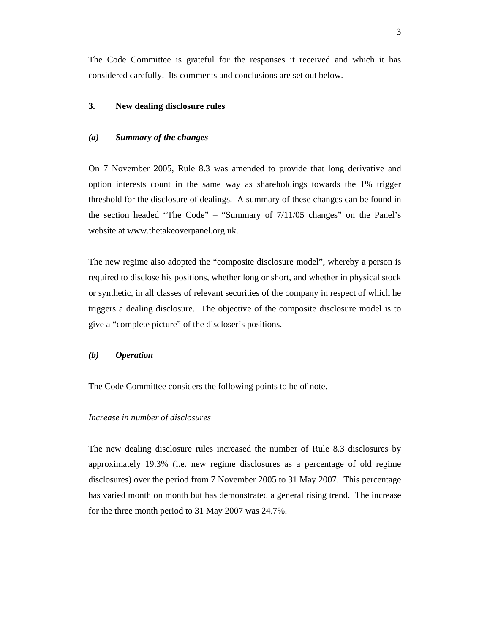The Code Committee is grateful for the responses it received and which it has considered carefully. Its comments and conclusions are set out below.

# **3. New dealing disclosure rules**

## *(a) Summary of the changes*

On 7 November 2005, Rule 8.3 was amended to provide that long derivative and option interests count in the same way as shareholdings towards the 1% trigger threshold for the disclosure of dealings. A summary of these changes can be found in the section headed "The Code" – "Summary of 7/11/05 changes" on the Panel's website at www.thetakeoverpanel.org.uk.

The new regime also adopted the "composite disclosure model", whereby a person is required to disclose his positions, whether long or short, and whether in physical stock or synthetic, in all classes of relevant securities of the company in respect of which he triggers a dealing disclosure. The objective of the composite disclosure model is to give a "complete picture" of the discloser's positions.

# *(b) Operation*

The Code Committee considers the following points to be of note.

## *Increase in number of disclosures*

The new dealing disclosure rules increased the number of Rule 8.3 disclosures by approximately 19.3% (i.e. new regime disclosures as a percentage of old regime disclosures) over the period from 7 November 2005 to 31 May 2007. This percentage has varied month on month but has demonstrated a general rising trend. The increase for the three month period to 31 May 2007 was 24.7%.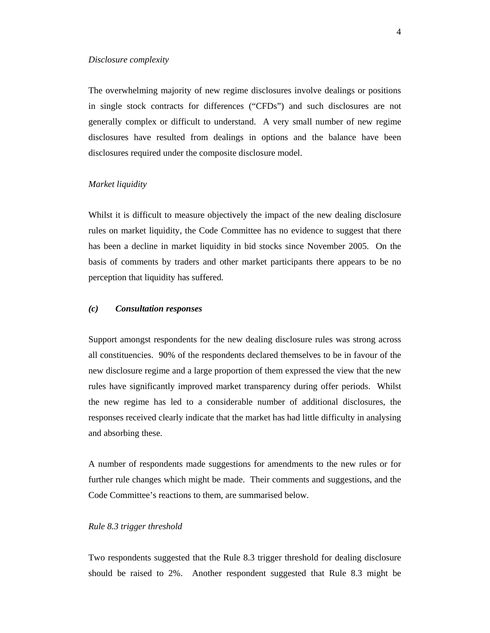#### *Disclosure complexity*

The overwhelming majority of new regime disclosures involve dealings or positions in single stock contracts for differences ("CFDs") and such disclosures are not generally complex or difficult to understand. A very small number of new regime disclosures have resulted from dealings in options and the balance have been disclosures required under the composite disclosure model.

# *Market liquidity*

Whilst it is difficult to measure objectively the impact of the new dealing disclosure rules on market liquidity, the Code Committee has no evidence to suggest that there has been a decline in market liquidity in bid stocks since November 2005. On the basis of comments by traders and other market participants there appears to be no perception that liquidity has suffered.

# *(c) Consultation responses*

Support amongst respondents for the new dealing disclosure rules was strong across all constituencies. 90% of the respondents declared themselves to be in favour of the new disclosure regime and a large proportion of them expressed the view that the new rules have significantly improved market transparency during offer periods. Whilst the new regime has led to a considerable number of additional disclosures, the responses received clearly indicate that the market has had little difficulty in analysing and absorbing these.

A number of respondents made suggestions for amendments to the new rules or for further rule changes which might be made. Their comments and suggestions, and the Code Committee's reactions to them, are summarised below.

#### *Rule 8.3 trigger threshold*

Two respondents suggested that the Rule 8.3 trigger threshold for dealing disclosure should be raised to 2%. Another respondent suggested that Rule 8.3 might be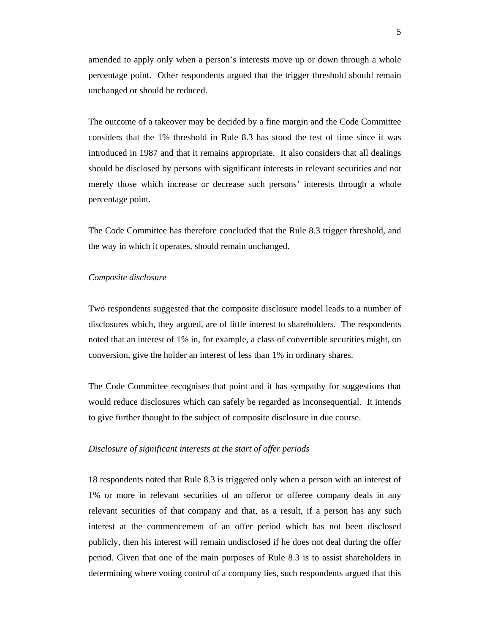amended to apply only when a person's interests move up or down through a whole percentage point. Other respondents argued that the trigger threshold should remain unchanged or should be reduced.

The outcome of a takeover may be decided by a fine margin and the Code Committee considers that the 1% threshold in Rule 8.3 has stood the test of time since it was introduced in 1987 and that it remains appropriate. It also considers that all dealings should be disclosed by persons with significant interests in relevant securities and not merely those which increase or decrease such persons' interests through a whole percentage point.

The Code Committee has therefore concluded that the Rule 8.3 trigger threshold, and the way in which it operates, should remain unchanged.

#### *Composite disclosure*

Two respondents suggested that the composite disclosure model leads to a number of disclosures which, they argued, are of little interest to shareholders. The respondents noted that an interest of 1% in, for example, a class of convertible securities might, on conversion, give the holder an interest of less than 1% in ordinary shares.

The Code Committee recognises that point and it has sympathy for suggestions that would reduce disclosures which can safely be regarded as inconsequential. It intends to give further thought to the subject of composite disclosure in due course.

#### *Disclosure of significant interests at the start of offer periods*

18 respondents noted that Rule 8.3 is triggered only when a person with an interest of 1% or more in relevant securities of an offeror or offeree company deals in any relevant securities of that company and that, as a result, if a person has any such interest at the commencement of an offer period which has not been disclosed publicly, then his interest will remain undisclosed if he does not deal during the offer period. Given that one of the main purposes of Rule 8.3 is to assist shareholders in determining where voting control of a company lies, such respondents argued that this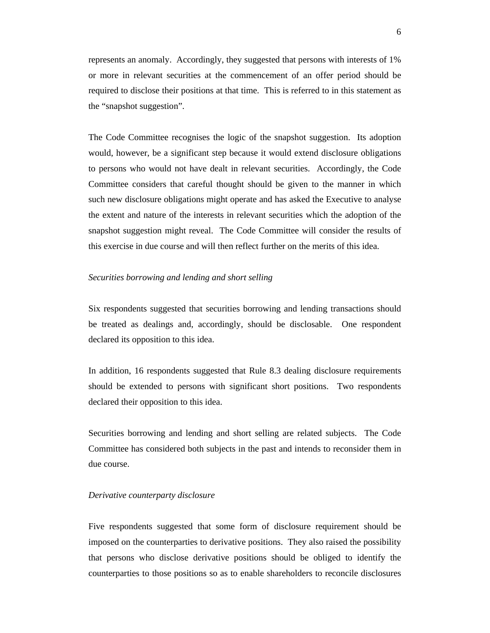represents an anomaly. Accordingly, they suggested that persons with interests of 1% or more in relevant securities at the commencement of an offer period should be required to disclose their positions at that time. This is referred to in this statement as the "snapshot suggestion".

The Code Committee recognises the logic of the snapshot suggestion. Its adoption would, however, be a significant step because it would extend disclosure obligations to persons who would not have dealt in relevant securities. Accordingly, the Code Committee considers that careful thought should be given to the manner in which such new disclosure obligations might operate and has asked the Executive to analyse the extent and nature of the interests in relevant securities which the adoption of the snapshot suggestion might reveal. The Code Committee will consider the results of this exercise in due course and will then reflect further on the merits of this idea.

#### *Securities borrowing and lending and short selling*

Six respondents suggested that securities borrowing and lending transactions should be treated as dealings and, accordingly, should be disclosable. One respondent declared its opposition to this idea.

In addition, 16 respondents suggested that Rule 8.3 dealing disclosure requirements should be extended to persons with significant short positions. Two respondents declared their opposition to this idea.

Securities borrowing and lending and short selling are related subjects. The Code Committee has considered both subjects in the past and intends to reconsider them in due course.

#### *Derivative counterparty disclosure*

Five respondents suggested that some form of disclosure requirement should be imposed on the counterparties to derivative positions. They also raised the possibility that persons who disclose derivative positions should be obliged to identify the counterparties to those positions so as to enable shareholders to reconcile disclosures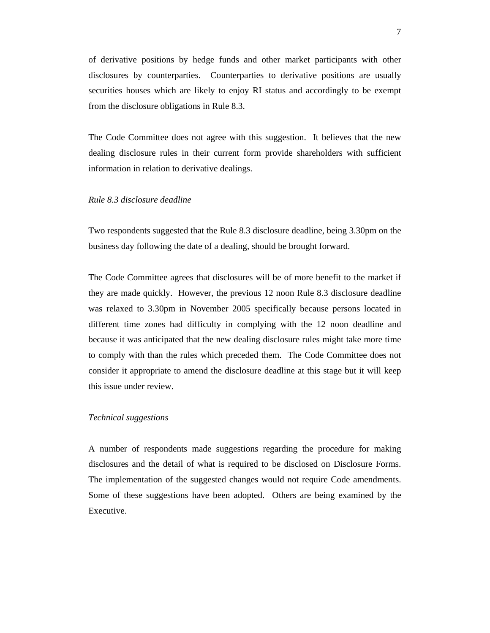of derivative positions by hedge funds and other market participants with other disclosures by counterparties. Counterparties to derivative positions are usually securities houses which are likely to enjoy RI status and accordingly to be exempt from the disclosure obligations in Rule 8.3.

The Code Committee does not agree with this suggestion. It believes that the new dealing disclosure rules in their current form provide shareholders with sufficient information in relation to derivative dealings.

# *Rule 8.3 disclosure deadline*

Two respondents suggested that the Rule 8.3 disclosure deadline, being 3.30pm on the business day following the date of a dealing, should be brought forward.

The Code Committee agrees that disclosures will be of more benefit to the market if they are made quickly. However, the previous 12 noon Rule 8.3 disclosure deadline was relaxed to 3.30pm in November 2005 specifically because persons located in different time zones had difficulty in complying with the 12 noon deadline and because it was anticipated that the new dealing disclosure rules might take more time to comply with than the rules which preceded them. The Code Committee does not consider it appropriate to amend the disclosure deadline at this stage but it will keep this issue under review.

# *Technical suggestions*

A number of respondents made suggestions regarding the procedure for making disclosures and the detail of what is required to be disclosed on Disclosure Forms. The implementation of the suggested changes would not require Code amendments. Some of these suggestions have been adopted. Others are being examined by the Executive.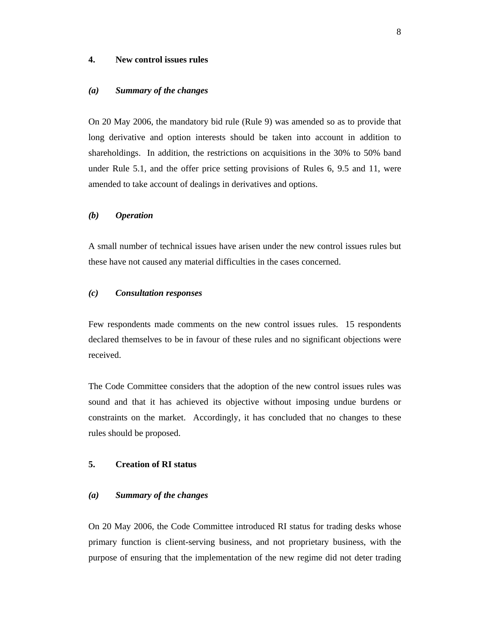## **4. New control issues rules**

#### *(a) Summary of the changes*

On 20 May 2006, the mandatory bid rule (Rule 9) was amended so as to provide that long derivative and option interests should be taken into account in addition to shareholdings. In addition, the restrictions on acquisitions in the 30% to 50% band under Rule 5.1, and the offer price setting provisions of Rules 6, 9.5 and 11, were amended to take account of dealings in derivatives and options.

# *(b) Operation*

A small number of technical issues have arisen under the new control issues rules but these have not caused any material difficulties in the cases concerned.

## *(c) Consultation responses*

Few respondents made comments on the new control issues rules. 15 respondents declared themselves to be in favour of these rules and no significant objections were received.

The Code Committee considers that the adoption of the new control issues rules was sound and that it has achieved its objective without imposing undue burdens or constraints on the market. Accordingly, it has concluded that no changes to these rules should be proposed.

# **5. Creation of RI status**

#### *(a) Summary of the changes*

On 20 May 2006, the Code Committee introduced RI status for trading desks whose primary function is client-serving business, and not proprietary business, with the purpose of ensuring that the implementation of the new regime did not deter trading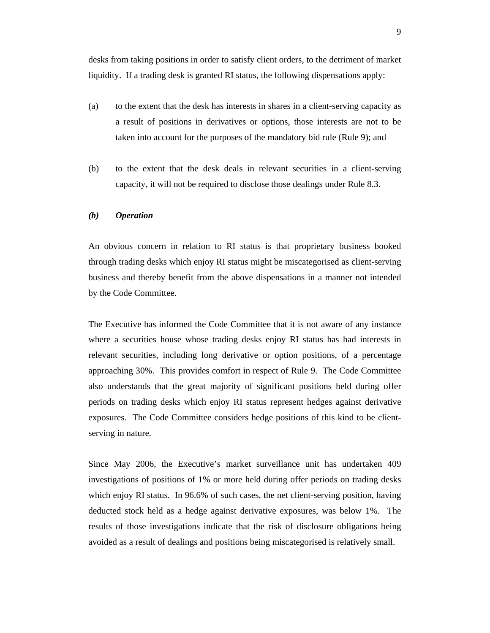desks from taking positions in order to satisfy client orders, to the detriment of market liquidity. If a trading desk is granted RI status, the following dispensations apply:

- (a) to the extent that the desk has interests in shares in a client-serving capacity as a result of positions in derivatives or options, those interests are not to be taken into account for the purposes of the mandatory bid rule (Rule 9); and
- (b) to the extent that the desk deals in relevant securities in a client-serving capacity, it will not be required to disclose those dealings under Rule 8.3.

## *(b) Operation*

An obvious concern in relation to RI status is that proprietary business booked through trading desks which enjoy RI status might be miscategorised as client-serving business and thereby benefit from the above dispensations in a manner not intended by the Code Committee.

The Executive has informed the Code Committee that it is not aware of any instance where a securities house whose trading desks enjoy RI status has had interests in relevant securities, including long derivative or option positions, of a percentage approaching 30%. This provides comfort in respect of Rule 9. The Code Committee also understands that the great majority of significant positions held during offer periods on trading desks which enjoy RI status represent hedges against derivative exposures. The Code Committee considers hedge positions of this kind to be clientserving in nature.

Since May 2006, the Executive's market surveillance unit has undertaken 409 investigations of positions of 1% or more held during offer periods on trading desks which enjoy RI status. In 96.6% of such cases, the net client-serving position, having deducted stock held as a hedge against derivative exposures, was below 1%. The results of those investigations indicate that the risk of disclosure obligations being avoided as a result of dealings and positions being miscategorised is relatively small.